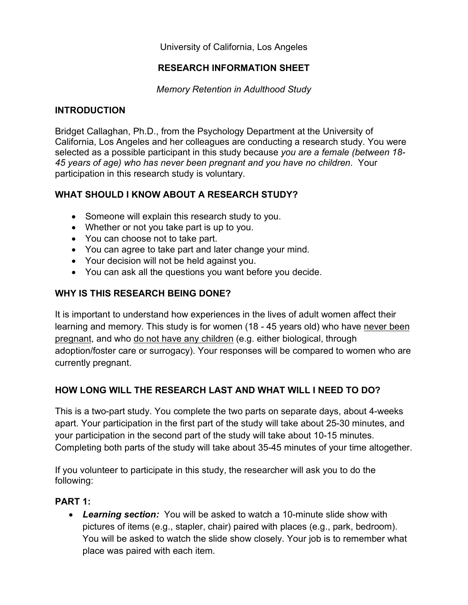University of California, Los Angeles

# **RESEARCH INFORMATION SHEET**

*Memory Retention in Adulthood Study* 

# **INTRODUCTION**

Bridget Callaghan, Ph.D., from the Psychology Department at the University of California, Los Angeles and her colleagues are conducting a research study. You were selected as a possible participant in this study because *you are a female (between 18- 45 years of age) who has never been pregnant and you have no children*. Your participation in this research study is voluntary.

# **WHAT SHOULD I KNOW ABOUT A RESEARCH STUDY?**

- Someone will explain this research study to you.
- Whether or not you take part is up to you.
- You can choose not to take part.
- You can agree to take part and later change your mind.
- Your decision will not be held against you.
- You can ask all the questions you want before you decide.

# **WHY IS THIS RESEARCH BEING DONE?**

It is important to understand how experiences in the lives of adult women affect their learning and memory. This study is for women (18 - 45 years old) who have never been pregnant, and who do not have any children (e.g. either biological, through adoption/foster care or surrogacy). Your responses will be compared to women who are currently pregnant.

# **HOW LONG WILL THE RESEARCH LAST AND WHAT WILL I NEED TO DO?**

This is a two-part study. You complete the two parts on separate days, about 4-weeks apart. Your participation in the first part of the study will take about 25-30 minutes, and your participation in the second part of the study will take about 10-15 minutes. Completing both parts of the study will take about 35-45 minutes of your time altogether.

If you volunteer to participate in this study, the researcher will ask you to do the following:

# **PART 1:**

• *Learning section:* You will be asked to watch a 10-minute slide show with pictures of items (e.g., stapler, chair) paired with places (e.g., park, bedroom). You will be asked to watch the slide show closely. Your job is to remember what place was paired with each item.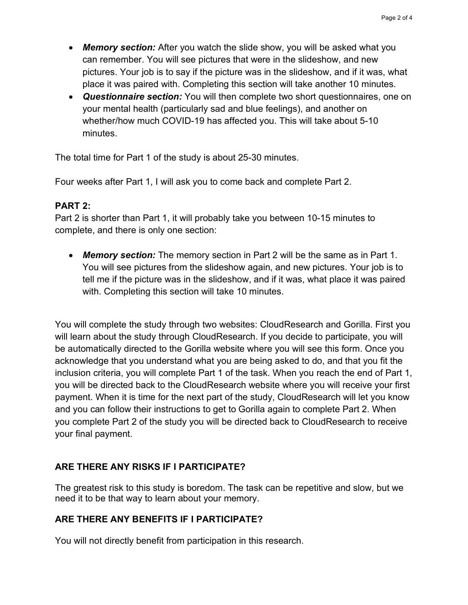- *Memory section:* After you watch the slide show, you will be asked what you can remember. You will see pictures that were in the slideshow, and new pictures. Your job is to say if the picture was in the slideshow, and if it was, what place it was paired with. Completing this section will take another 10 minutes.
- *Questionnaire section:* You will then complete two short questionnaires, one on your mental health (particularly sad and blue feelings), and another on whether/how much COVID-19 has affected you. This will take about 5-10 minutes.

The total time for Part 1 of the study is about 25-30 minutes.

Four weeks after Part 1, I will ask you to come back and complete Part 2.

#### **PART 2:**

Part 2 is shorter than Part 1, it will probably take you between 10-15 minutes to complete, and there is only one section:

• *Memory section:* The memory section in Part 2 will be the same as in Part 1. You will see pictures from the slideshow again, and new pictures. Your job is to tell me if the picture was in the slideshow, and if it was, what place it was paired with. Completing this section will take 10 minutes.

You will complete the study through two websites: CloudResearch and Gorilla. First you will learn about the study through CloudResearch. If you decide to participate, you will be automatically directed to the Gorilla website where you will see this form. Once you acknowledge that you understand what you are being asked to do, and that you fit the inclusion criteria, you will complete Part 1 of the task. When you reach the end of Part 1, you will be directed back to the CloudResearch website where you will receive your first payment. When it is time for the next part of the study, CloudResearch will let you know and you can follow their instructions to get to Gorilla again to complete Part 2. When you complete Part 2 of the study you will be directed back to CloudResearch to receive your final payment.

# **ARE THERE ANY RISKS IF I PARTICIPATE?**

The greatest risk to this study is boredom. The task can be repetitive and slow, but we need it to be that way to learn about your memory.

# **ARE THERE ANY BENEFITS IF I PARTICIPATE?**

You will not directly benefit from participation in this research.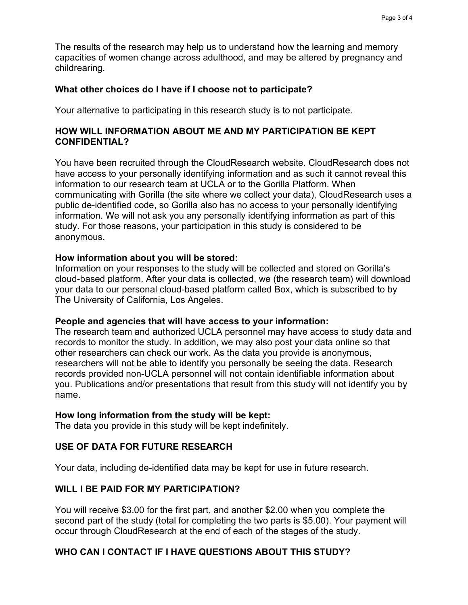The results of the research may help us to understand how the learning and memory capacities of women change across adulthood, and may be altered by pregnancy and childrearing.

#### **What other choices do I have if I choose not to participate?**

Your alternative to participating in this research study is to not participate.

### **HOW WILL INFORMATION ABOUT ME AND MY PARTICIPATION BE KEPT CONFIDENTIAL?**

You have been recruited through the CloudResearch website. CloudResearch does not have access to your personally identifying information and as such it cannot reveal this information to our research team at UCLA or to the Gorilla Platform. When communicating with Gorilla (the site where we collect your data), CloudResearch uses a public de-identified code, so Gorilla also has no access to your personally identifying information. We will not ask you any personally identifying information as part of this study. For those reasons, your participation in this study is considered to be anonymous.

#### **How information about you will be stored:**

Information on your responses to the study will be collected and stored on Gorilla's cloud-based platform. After your data is collected, we (the research team) will download your data to our personal cloud-based platform called Box, which is subscribed to by The University of California, Los Angeles.

#### **People and agencies that will have access to your information:**

The research team and authorized UCLA personnel may have access to study data and records to monitor the study. In addition, we may also post your data online so that other researchers can check our work. As the data you provide is anonymous, researchers will not be able to identify you personally be seeing the data. Research records provided non-UCLA personnel will not contain identifiable information about you. Publications and/or presentations that result from this study will not identify you by name.

# **How long information from the study will be kept:**

The data you provide in this study will be kept indefinitely.

# **USE OF DATA FOR FUTURE RESEARCH**

Your data, including de-identified data may be kept for use in future research.

# **WILL I BE PAID FOR MY PARTICIPATION?**

You will receive \$3.00 for the first part, and another \$2.00 when you complete the second part of the study (total for completing the two parts is \$5.00). Your payment will occur through CloudResearch at the end of each of the stages of the study.

# **WHO CAN I CONTACT IF I HAVE QUESTIONS ABOUT THIS STUDY?**